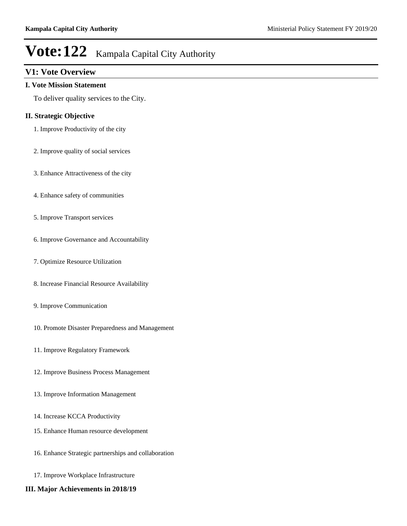### **V1: Vote Overview**

#### **I. Vote Mission Statement**

To deliver quality services to the City.

#### **II. Strategic Objective**

- 1. Improve Productivity of the city
- 2. Improve quality of social services
- 3. Enhance Attractiveness of the city
- 4. Enhance safety of communities
- 5. Improve Transport services
- 6. Improve Governance and Accountability
- 7. Optimize Resource Utilization
- 8. Increase Financial Resource Availability
- 9. Improve Communication
- 10. Promote Disaster Preparedness and Management
- 11. Improve Regulatory Framework
- 12. Improve Business Process Management
- 13. Improve Information Management
- 14. Increase KCCA Productivity
- 15. Enhance Human resource development
- 16. Enhance Strategic partnerships and collaboration
- 17. Improve Workplace Infrastructure
- **III. Major Achievements in 2018/19**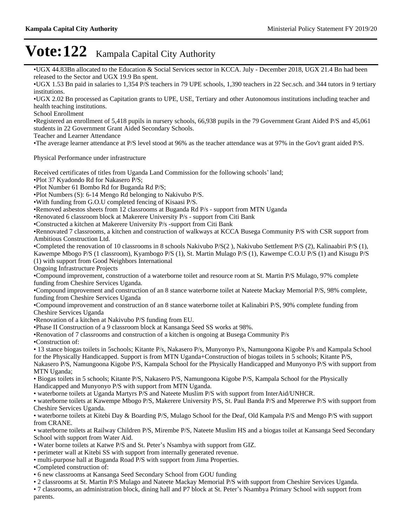UGX 44.83Bn allocated to the Education & Social Services sector in KCCA. July - December 2018, UGX 21.4 Bn had been released to the Sector and UGX 19.9 Bn spent.

UGX 1.53 Bn paid in salaries to 1,354 P/S teachers in 79 UPE schools, 1,390 teachers in 22 Sec.sch. and 344 tutors in 9 tertiary institutions.

UGX 2.02 Bn processed as Capitation grants to UPE, USE, Tertiary and other Autonomous institutions including teacher and health teaching institutions.

School Enrollment

Registered an enrollment of 5,418 pupils in nursery schools, 66,938 pupils in the 79 Government Grant Aided P/S and 45,061 students in 22 Government Grant Aided Secondary Schools.

Teacher and Learner Attendance

The average learner attendance at P/S level stood at 96% as the teacher attendance was at 97% in the Gov't grant aided P/S.

Physical Performance under infrastructure

Received certificates of titles from Uganda Land Commission for the following schools' land;

Plot 37 Kyadondo Rd for Nakasero P/S;

Plot Number 61 Bombo Rd for Buganda Rd P/S;

Plot Numbers (S): 6-14 Mengo Rd belonging to Nakivubo P/S.

With funding from G.O.U completed fencing of Kisaasi P/S.

•Removed asbestos sheets from 12 classrooms at Buganda Rd P/s - support from MTN Uganda

Renovated 6 classroom block at Makerere University P/s - support from Citi Bank

Constructed a kitchen at Makerere University P/s -support from Citi Bank

Rennovated 7 classrooms, a kitchen and construction of walkways at KCCA Busega Community P/S with CSR support from Ambitious Construction Ltd.

Completed the renovation of 10 classrooms in 8 schools Nakivubo P/S(2 ), Nakivubo Settlement P/S (2), Kalinaabiri P/S (1),

Kawempe Mbogo P/S (1 classroom), Kyambogo P/S (1), St. Martin Mulago P/S (1), Kawempe C.O.U P/S (1) and Kisugu P/S (1) with support from Good Neighbors International

Ongoing Infrastructure Projects

Compound improvement, construction of a waterborne toilet and resource room at St. Martin P/S Mulago, 97% complete funding from Cheshire Services Uganda.

Compound improvement and construction of an 8 stance waterborne toilet at Nateete Mackay Memorial P/S, 98% complete, funding from Cheshire Services Uganda

Compound improvement and construction of an 8 stance waterborne toilet at Kalinabiri P/S, 90% complete funding from Cheshire Services Uganda

Renovation of a kitchen at Nakivubo P/S funding from EU.

Phase II Construction of a 9 classroom block at Kansanga Seed SS works at 98%.

Renovation of 7 classrooms and construction of a kitchen is ongoing at Busega Community P/s

Construction of:

13 stance biogas toilets in 5schools; Kitante P/s, Nakasero P/s, Munyonyo P/s, Namungoona Kigobe P/s and Kampala School for the Physically Handicapped. Support is from MTN Uganda+Construction of biogas toilets in 5 schools; Kitante P/S, Nakasero P/S, Namungoona Kigobe P/S, Kampala School for the Physically Handicapped and Munyonyo P/S with support from MTN Uganda;

Biogas toilets in 5 schools; Kitante P/S, Nakasero P/S, Namungoona Kigobe P/S, Kampala School for the Physically Handicapped and Munyonyo P/S with support from MTN Uganda.

waterborne toilets at Uganda Martyrs P/S and Nateete Muslim P/S with support from InterAid/UNHCR.

waterborne toilets at Kawempe Mbogo P/S, Makerere University P/S, St. Paul Banda P/S and Mpererwe P/S with support from Cheshire Services Uganda.

waterborne toilets at Kitebi Day & Boarding P/S, Mulago School for the Deaf, Old Kampala P/S and Mengo P/S with support from CRANE.

waterborne toilets at Railway Children P/S, Mirembe P/S, Nateete Muslim HS and a biogas toilet at Kansanga Seed Secondary School with support from Water Aid.

• Water borne toilets at Katwe P/S and St. Peter's Nsambya with support from GIZ.

perimeter wall at Kitebi SS with support from internally generated revenue.

multi-purpose hall at Buganda Road P/S with support from Jima Properties.

Completed construction of:

6 new classrooms at Kansanga Seed Secondary School from GOU funding

2 classrooms at St. Martin P/S Mulago and Nateete Mackay Memorial P/S with support from Cheshire Services Uganda.

• 7 classrooms, an administration block, dining hall and P7 block at St. Peter's Nsambya Primary School with support from parents.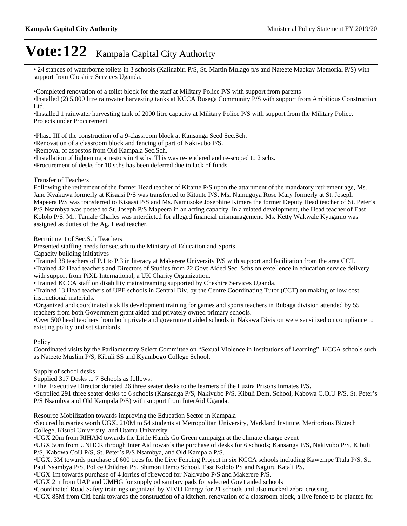24 stances of waterborne toilets in 3 schools (Kalinabiri P/S, St. Martin Mulago p/s and Nateete Mackay Memorial P/S) with support from Cheshire Services Uganda.

Completed renovation of a toilet block for the staff at Military Police P/S with support from parents

Installed (2) 5,000 litre rainwater harvesting tanks at KCCA Busega Community P/S with support from Ambitious Construction Ltd.

Installed 1 rainwater harvesting tank of 2000 litre capacity at Military Police P/S with support from the Military Police. Projects under Procurement

Phase III of the construction of a 9-classroom block at Kansanga Seed Sec.Sch.

Renovation of a classroom block and fencing of part of Nakivubo P/S.

Removal of asbestos from Old Kampala Sec.Sch.

Installation of lightening arrestors in 4 schs. This was re-tendered and re-scoped to 2 schs.

Procurement of desks for 10 schs has been deferred due to lack of funds.

#### Transfer of Teachers

Following the retirement of the former Head teacher of Kitante P/S upon the attainment of the mandatory retirement age, Ms. Jane Kyakuwa formerly at Kisaasi P/S was transferred to Kitante P/S, Ms. Namugoya Rose Mary formerly at St. Joseph Mapeera P/S was transferred to Kisaasi P/S and Ms. Namusoke Josephine Kimera the former Deputy Head teacher of St. Peter's P/S Nsambya was posted to St. Joseph P/S Mapeera in an acting capacity. In a related development, the Head teacher of East Kololo P/S, Mr. Tamale Charles was interdicted for alleged financial mismanagement. Ms. Ketty Wakwale Kyagamo was assigned as duties of the Ag. Head teacher.

Recruitment of Sec.Sch Teachers

Presented staffing needs for sec.sch to the Ministry of Education and Sports

Capacity building initiatives

Trained 38 teachers of P.1 to P.3 in literacy at Makerere University P/S with support and facilitation from the area CCT.

Trained 42 Head teachers and Directors of Studies from 22 Govt Aided Sec. Schs on excellence in education service delivery with support from PiXL International, a UK Charity Organization.

Trained KCCA staff on disability mainstreaming supported by Cheshire Services Uganda.

Trained 13 Head teachers of UPE schools in Central Div. by the Centre Coordinating Tutor (CCT) on making of low cost instructional materials.

Organized and coordinated a skills development training for games and sports teachers in Rubaga division attended by 55 teachers from both Government grant aided and privately owned primary schools.

Over 500 head teachers from both private and government aided schools in Nakawa Division were sensitized on compliance to existing policy and set standards.

#### **Policy**

Coordinated visits by the Parliamentary Select Committee on "Sexual Violence in Institutions of Learning". KCCA schools such as Nateete Muslim P/S, Kibuli SS and Kyambogo College School.

Supply of school desks

Supplied 317 Desks to 7 Schools as follows:

The Executive Director donated 26 three seater desks to the learners of the Luzira Prisons Inmates P/S.

•Supplied 291 three seater desks to 6 schools (Kansanga P/S, Nakivubo P/S, Kibuli Dem. School, Kabowa C.O.U P/S, St. Peter's P/S Nsambya and Old Kampala P/S) with support from InterAid Uganda.

Resource Mobilization towards improving the Education Sector in Kampala

Secured bursaries worth UGX. 210M to 54 students at Metropolitan University, Markland Institute, Meritorious Biztech College, Kisubi University, and Utamu University.

UGX 20m from RIHAM towards the Little Hands Go Green campaign at the climate change event

UGX 50m from UNHCR through Inter Aid towards the purchase of desks for 6 schools; Kansanga P/S, Nakivubo P/S, Kibuli P/S, Kabowa CoU P/S, St. Peter's P/S Nsambya, and Old Kampala P/S.

UGX. 3M towards purchase of 600 trees for the Live Fencing Project in six KCCA schools including Kawempe Ttula P/S, St. Paul Nsambya P/S, Police Children PS, Shimon Demo School, East Kololo PS and Naguru Katali PS.

UGX 1m towards purchase of 4 lorries of firewood for Nakivubo P/S and Makerere P/S.

UGX 2m from UAP and UMHG for supply od sanitary pads for selected Gov't aided schools

Coordinated Road Safety trainings organized by VIVO Energy for 21 schools and also marked zebra crossing.

UGX 85M from Citi bank towards the construction of a kitchen, renovation of a classroom block, a live fence to be planted for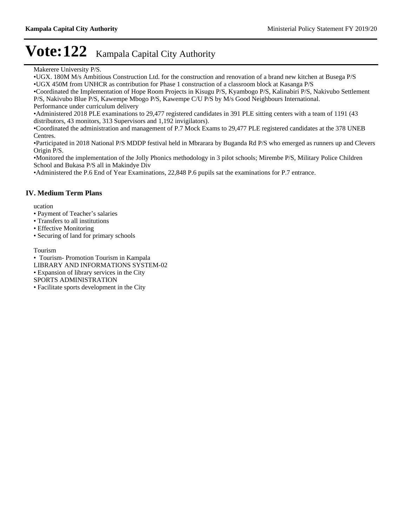Makerere University P/S.

UGX. 180M M/s Ambitious Construction Ltd. for the construction and renovation of a brand new kitchen at Busega P/S UGX 450M from UNHCR as contribution for Phase 1 construction of a classroom block at Kasanga P/S

Coordinated the Implementation of Hope Room Projects in Kisugu P/S, Kyambogo P/S, Kalinabiri P/S, Nakivubo Settlement P/S, Nakivubo Blue P/S, Kawempe Mbogo P/S, Kawempe C/U P/S by M/s Good Neighbours International.

Performance under curriculum delivery

Administered 2018 PLE examinations to 29,477 registered candidates in 391 PLE sitting centers with a team of 1191 (43 distributors, 43 monitors, 313 Supervisors and 1,192 invigilators).

Coordinated the administration and management of P.7 Mock Exams to 29,477 PLE registered candidates at the 378 UNEB Centres.

Participated in 2018 National P/S MDDP festival held in Mbrarara by Buganda Rd P/S who emerged as runners up and Clevers Origin P/S.

Monitored the implementation of the Jolly Phonics methodology in 3 pilot schools; Mirembe P/S, Military Police Children School and Bukasa P/S all in Makindye Div

Administered the P.6 End of Year Examinations, 22,848 P.6 pupils sat the examinations for P.7 entrance.

#### **IV. Medium Term Plans**

ucation

- Payment of Teacher's salaries
- Transfers to all institutions
- Effective Monitoring
- Securing of land for primary schools

Tourism

Tourism- Promotion Tourism in Kampala

LIBRARY AND INFORMATIONS SYSTEM-02

Expansion of library services in the City

SPORTS ADMINISTRATION

Facilitate sports development in the City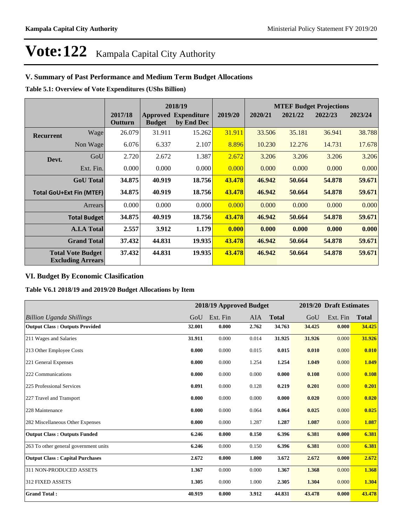### **V. Summary of Past Performance and Medium Term Budget Allocations**

**Table 5.1: Overview of Vote Expenditures (UShs Billion)**

|                                                      |                                 |                    | 2018/19                          |                                  |         | <b>MTEF Budget Projections</b> |         |         |         |
|------------------------------------------------------|---------------------------------|--------------------|----------------------------------|----------------------------------|---------|--------------------------------|---------|---------|---------|
|                                                      |                                 | 2017/18<br>Outturn | <b>Approved</b><br><b>Budget</b> | <b>Expenditure</b><br>by End Dec | 2019/20 | 2020/21                        | 2021/22 | 2022/23 | 2023/24 |
| <b>Recurrent</b>                                     | Wage                            | 26.079             | 31.911                           | 15.262                           | 31.911  | 33.506                         | 35.181  | 36.941  | 38.788  |
|                                                      | Non Wage                        | 6.076              | 6.337                            | 2.107                            | 8.896   | 10.230                         | 12.276  | 14.731  | 17.678  |
| Devt.                                                | GoU                             | 2.720              | 2.672                            | 1.387                            | 2.672   | 3.206                          | 3.206   | 3.206   | 3.206   |
|                                                      | Ext. Fin.                       | 0.000              | 0.000                            | 0.000                            | 0.000   | 0.000                          | 0.000   | 0.000   | 0.000   |
|                                                      | <b>GoU</b> Total                | 34.875             | 40.919                           | 18.756                           | 43.478  | 46.942                         | 50.664  | 54.878  | 59.671  |
|                                                      | <b>Total GoU+Ext Fin (MTEF)</b> | 34.875             | 40.919                           | 18.756                           | 43.478  | 46.942                         | 50.664  | 54.878  | 59.671  |
|                                                      | Arrears                         | 0.000              | 0.000                            | 0.000                            | 0.000   | 0.000                          | 0.000   | 0.000   | 0.000   |
|                                                      | <b>Total Budget</b>             | 34.875             | 40.919                           | 18.756                           | 43.478  | 46.942                         | 50.664  | 54.878  | 59.671  |
|                                                      | <b>A.I.A Total</b>              | 2.557              | 3.912                            | 1.179                            | 0.000   | 0.000                          | 0.000   | 0.000   | 0.000   |
|                                                      | <b>Grand Total</b>              | 37.432             | 44.831                           | 19.935                           | 43.478  | 46.942                         | 50.664  | 54.878  | 59.671  |
| <b>Total Vote Budget</b><br><b>Excluding Arrears</b> |                                 | 37.432             | 44.831                           | 19.935                           | 43.478  | 46.942                         | 50.664  | 54.878  | 59.671  |

### **VI. Budget By Economic Clasification**

**Table V6.1 2018/19 and 2019/20 Budget Allocations by Item**

|                                        |        |          | 2018/19 Approved Budget |              |        | 2019/20 Draft Estimates |              |
|----------------------------------------|--------|----------|-------------------------|--------------|--------|-------------------------|--------------|
| Billion Uganda Shillings               | GoU    | Ext. Fin | AIA                     | <b>Total</b> | GoU    | Ext. Fin                | <b>Total</b> |
| <b>Output Class: Outputs Provided</b>  | 32.001 | 0.000    | 2.762                   | 34.763       | 34.425 | 0.000                   | 34.425       |
| 211 Wages and Salaries                 | 31.911 | 0.000    | 0.014                   | 31.925       | 31.926 | 0.000                   | 31.926       |
| 213 Other Employee Costs               | 0.000  | 0.000    | 0.015                   | 0.015        | 0.010  | 0.000                   | 0.010        |
| 221 General Expenses                   | 0.000  | 0.000    | 1.254                   | 1.254        | 1.049  | 0.000                   | 1.049        |
| 222 Communications                     | 0.000  | 0.000    | 0.000                   | 0.000        | 0.108  | 0.000                   | 0.108        |
| 225 Professional Services              | 0.091  | 0.000    | 0.128                   | 0.219        | 0.201  | 0.000                   | 0.201        |
| 227 Travel and Transport               | 0.000  | 0.000    | 0.000                   | 0.000        | 0.020  | 0.000                   | 0.020        |
| 228 Maintenance                        | 0.000  | 0.000    | 0.064                   | 0.064        | 0.025  | 0.000                   | 0.025        |
| 282 Miscellaneous Other Expenses       | 0.000  | 0.000    | 1.287                   | 1.287        | 1.087  | 0.000                   | 1.087        |
| <b>Output Class: Outputs Funded</b>    | 6.246  | 0.000    | 0.150                   | 6.396        | 6.381  | 0.000                   | 6.381        |
| 263 To other general government units  | 6.246  | 0.000    | 0.150                   | 6.396        | 6.381  | 0.000                   | 6.381        |
| <b>Output Class: Capital Purchases</b> | 2.672  | 0.000    | 1.000                   | 3.672        | 2.672  | 0.000                   | 2.672        |
| 311 NON-PRODUCED ASSETS                | 1.367  | 0.000    | 0.000                   | 1.367        | 1.368  | 0.000                   | 1.368        |
| 312 FIXED ASSETS                       | 1.305  | 0.000    | 1.000                   | 2.305        | 1.304  | 0.000                   | 1.304        |
| <b>Grand Total:</b>                    | 40.919 | 0.000    | 3.912                   | 44.831       | 43.478 | 0.000                   | 43.478       |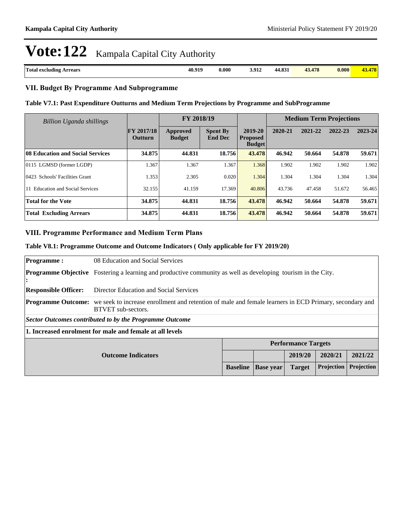| Total<br>rrears<br>. excluding<br>. | 40.919 | 0.000<br>. | 3.912 | $\Omega$<br>77.OJ 1<br>$\sim$ $\sim$ $\sim$ $\sim$ | 479<br>$+10$ | 0.000<br>. |  |
|-------------------------------------|--------|------------|-------|----------------------------------------------------|--------------|------------|--|
|                                     |        |            |       |                                                    |              |            |  |

#### **VII. Budget By Programme And Subprogramme**

#### **Table V7.1: Past Expenditure Outturns and Medium Term Projections by Programme and SubProgramme**

| <b>Billion Uganda shillings</b>  |                                     | FY 2018/19                |                                   |                                             | <b>Medium Term Projections</b> |         |         |         |
|----------------------------------|-------------------------------------|---------------------------|-----------------------------------|---------------------------------------------|--------------------------------|---------|---------|---------|
|                                  | <b>FY 2017/18</b><br><b>Outturn</b> | Approved<br><b>Budget</b> | <b>Spent By</b><br><b>End Dec</b> | 2019-20<br><b>Proposed</b><br><b>Budget</b> | 2020-21                        | 2021-22 | 2022-23 | 2023-24 |
| 08 Education and Social Services | 34.875                              | 44.831                    | 18.756                            | 43.478                                      | 46.942                         | 50.664  | 54.878  | 59.671  |
| 0115 LGMSD (former LGDP)         | 1.367                               | 1.367                     | 1.367                             | 1.368                                       | 1.902                          | 1.902   | 1.902   | 1.902   |
| 0423 Schools' Facilities Grant   | 1.353                               | 2.305                     | 0.020                             | 1.304                                       | 1.304                          | 1.304   | 1.304   | 1.304   |
| 11 Education and Social Services | 32.155                              | 41.159                    | 17.369                            | 40.806                                      | 43.736                         | 47.458  | 51.672  | 56.465  |
| <b>Total for the Vote</b>        | 34.875                              | 44.831                    | 18.756                            | 43.478                                      | 46.942                         | 50.664  | 54.878  | 59.671  |
| <b>Total Excluding Arrears</b>   | 34.875                              | 44.831                    | 18.756                            | 43.478                                      | 46.942                         | 50.664  | 54.878  | 59.671  |

#### **VIII. Programme Performance and Medium Term Plans**

#### **Table V8.1: Programme Outcome and Outcome Indicators ( Only applicable for FY 2019/20)**

| <b>Programme:</b>                               | 08 Education and Social Services                                                                                                                              |                 |                  |               |            |            |
|-------------------------------------------------|---------------------------------------------------------------------------------------------------------------------------------------------------------------|-----------------|------------------|---------------|------------|------------|
| :                                               | <b>Programme Objective</b> Fostering a learning and productive community as well as developing tourism in the City.                                           |                 |                  |               |            |            |
| <b>Responsible Officer:</b>                     | Director Education and Social Services                                                                                                                        |                 |                  |               |            |            |
|                                                 | <b>Programme Outcome:</b> we seek to increase enrollment and retention of male and female learners in ECD Primary, secondary and<br><b>BTVET</b> sub-sectors. |                 |                  |               |            |            |
|                                                 | Sector Outcomes contributed to by the Programme Outcome                                                                                                       |                 |                  |               |            |            |
|                                                 | 1. Increased enrolment for male and female at all levels                                                                                                      |                 |                  |               |            |            |
|                                                 | <b>Performance Targets</b>                                                                                                                                    |                 |                  |               |            |            |
| 2020/21<br>2019/20<br><b>Outcome Indicators</b> |                                                                                                                                                               |                 |                  |               |            | 2021/22    |
|                                                 |                                                                                                                                                               | <b>Baseline</b> | <b>Base year</b> | <b>Target</b> | Projection | Projection |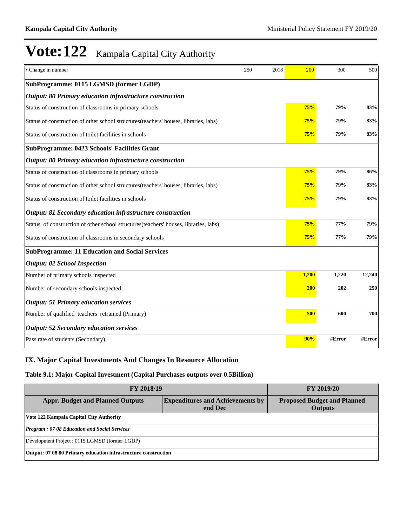| • Change in number                                                                    | 250 | 2018 | 200   | 300    | 500    |
|---------------------------------------------------------------------------------------|-----|------|-------|--------|--------|
| SubProgramme: 0115 LGMSD (former LGDP)                                                |     |      |       |        |        |
| Output: 80 Primary education infrastructure construction                              |     |      |       |        |        |
| Status of construction of classrooms in primary schools                               |     |      | 75%   | 79%    | 83%    |
| Status of construction of other school structures (teachers' houses, libraries, labs) |     |      | 75%   | 79%    | 83%    |
| Status of construction of toilet facilities in schools                                |     |      | 75%   | 79%    | 83%    |
| <b>SubProgramme: 0423 Schools' Facilities Grant</b>                                   |     |      |       |        |        |
| Output: 80 Primary education infrastructure construction                              |     |      |       |        |        |
| Status of construction of classrooms in primary schools                               |     |      | 75%   | 79%    | 86%    |
| Status of construction of other school structures (teachers' houses, libraries, labs) |     | 75%  | 79%   | 83%    |        |
| Status of construction of toilet facilities in schools                                |     |      | 75%   | 79%    | 83%    |
| Output: 81 Secondary education infrastructure construction                            |     |      |       |        |        |
| Status of construction of other school structures (teachers' houses, libraries, labs) |     |      | 75%   | 77%    | 79%    |
| Status of construction of classrooms in secondary schools                             |     |      | 75%   | 77%    | 79%    |
| <b>SubProgramme: 11 Education and Social Services</b>                                 |     |      |       |        |        |
| <b>Output: 02 School Inspection</b>                                                   |     |      |       |        |        |
| Number of primary schools inspected                                                   |     |      | 1,200 | 1,220  | 12,240 |
| Number of secondary schools inspected                                                 |     |      | 200   | 202    | 250    |
| <b>Output: 51 Primary education services</b>                                          |     |      |       |        |        |
| Number of qualified teachers retrained (Primary)                                      |     |      | 500   | 600    | 700    |
| <b>Output: 52 Secondary education services</b>                                        |     |      |       |        |        |
| Pass rate of students (Secondary)                                                     |     |      | 90%   | #Error | #Error |

### **IX. Major Capital Investments And Changes In Resource Allocation**

#### **Table 9.1: Major Capital Investment (Capital Purchases outputs over 0.5Billion)**

| <b>FY 2018/19</b>                                              | <b>FY 2019/20</b>                                    |  |  |  |  |  |
|----------------------------------------------------------------|------------------------------------------------------|--|--|--|--|--|
| <b>Appr. Budget and Planned Outputs</b>                        | <b>Proposed Budget and Planned</b><br><b>Outputs</b> |  |  |  |  |  |
| Vote 122 Kampala Capital City Authority                        |                                                      |  |  |  |  |  |
| <b>Program: 07 08 Education and Social Services</b>            |                                                      |  |  |  |  |  |
| Development Project : 0115 LGMSD (former LGDP)                 |                                                      |  |  |  |  |  |
| Output: 07 08 80 Primary education infrastructure construction |                                                      |  |  |  |  |  |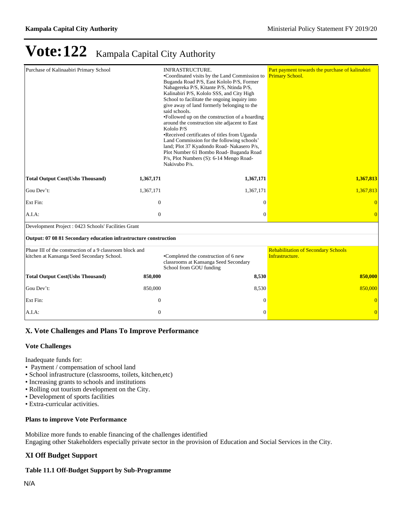| Purchase of Kalinaabiri Primary School                                                                 |                | <b>INFRASTRUCTURE.</b><br>•Coordinated visits by the Land Commission to<br>Buganda Road P/S, East Kololo P/S, Former<br>Nabagereka P/S, Kitante P/S, Ntinda P/S,<br>Kalinabiri P/S, Kololo SSS, and City High<br>School to facilitate the ongoing inquiry into<br>give away of land formerly belonging to the<br>said schools.<br>•Followed up on the construction of a hoarding<br>around the construction site adjacent to East<br>Kololo P/S<br>•Received certificates of titles from Uganda<br>Land Commission for the following schools'<br>land; Plot 37 Kyadondo Road- Nakasero P/s,<br>Plot Number 61 Bombo Road- Buganda Road<br>P/s, Plot Numbers (S): 6-14 Mengo Road-<br>Nakivubo P/s. | Part payment towards the purchase of kalinabiri<br><b>Primary School.</b> |
|--------------------------------------------------------------------------------------------------------|----------------|----------------------------------------------------------------------------------------------------------------------------------------------------------------------------------------------------------------------------------------------------------------------------------------------------------------------------------------------------------------------------------------------------------------------------------------------------------------------------------------------------------------------------------------------------------------------------------------------------------------------------------------------------------------------------------------------------|---------------------------------------------------------------------------|
| <b>Total Output Cost(Ushs Thousand)</b>                                                                | 1,367,171      | 1,367,171                                                                                                                                                                                                                                                                                                                                                                                                                                                                                                                                                                                                                                                                                          | 1,367,813                                                                 |
| Gou Dev't:                                                                                             | 1,367,171      | 1,367,171                                                                                                                                                                                                                                                                                                                                                                                                                                                                                                                                                                                                                                                                                          | 1,367,813                                                                 |
| Ext Fin:                                                                                               | $\overline{0}$ | $\theta$                                                                                                                                                                                                                                                                                                                                                                                                                                                                                                                                                                                                                                                                                           | $\overline{0}$                                                            |
| A.I.A:                                                                                                 | $\mathbf{0}$   | $\Omega$                                                                                                                                                                                                                                                                                                                                                                                                                                                                                                                                                                                                                                                                                           |                                                                           |
| Development Project : 0423 Schools' Facilities Grant                                                   |                |                                                                                                                                                                                                                                                                                                                                                                                                                                                                                                                                                                                                                                                                                                    |                                                                           |
| Output: 07 08 81 Secondary education infrastructure construction                                       |                |                                                                                                                                                                                                                                                                                                                                                                                                                                                                                                                                                                                                                                                                                                    |                                                                           |
| Phase III of the construction of a 9 classroom block and<br>kitchen at Kansanga Seed Secondary School. |                | •Completed the construction of 6 new<br>classrooms at Kansanga Seed Secondary<br>School from GOU funding                                                                                                                                                                                                                                                                                                                                                                                                                                                                                                                                                                                           | <b>Rehabilitation of Secondary Schools</b><br>Infrastructure.             |
| <b>Total Output Cost(Ushs Thousand)</b>                                                                | 850,000        | 8,530                                                                                                                                                                                                                                                                                                                                                                                                                                                                                                                                                                                                                                                                                              | 850,000                                                                   |
| Gou Dev't:                                                                                             | 850,000        | 8,530                                                                                                                                                                                                                                                                                                                                                                                                                                                                                                                                                                                                                                                                                              | 850,000                                                                   |
| Ext Fin:                                                                                               | $\mathbf{0}$   | $\Omega$                                                                                                                                                                                                                                                                                                                                                                                                                                                                                                                                                                                                                                                                                           | $\overline{0}$                                                            |
| A.I.A:                                                                                                 | $\mathbf{0}$   | $\Omega$                                                                                                                                                                                                                                                                                                                                                                                                                                                                                                                                                                                                                                                                                           | $\overline{0}$                                                            |

#### **X. Vote Challenges and Plans To Improve Performance**

#### **Vote Challenges**

Inadequate funds for:

- Payment / compensation of school land
- School infrastructure (classrooms, toilets, kitchen,etc)
- Increasing grants to schools and institutions
- Rolling out tourism development on the City.
- Development of sports facilities
- Extra-curricular activities.

#### **Plans to improve Vote Performance**

Mobilize more funds to enable financing of the challenges identified Engaging other Stakeholders especially private sector in the provision of Education and Social Services in the City.

### **XI Off Budget Support**

#### **Table 11.1 Off-Budget Support by Sub-Programme**